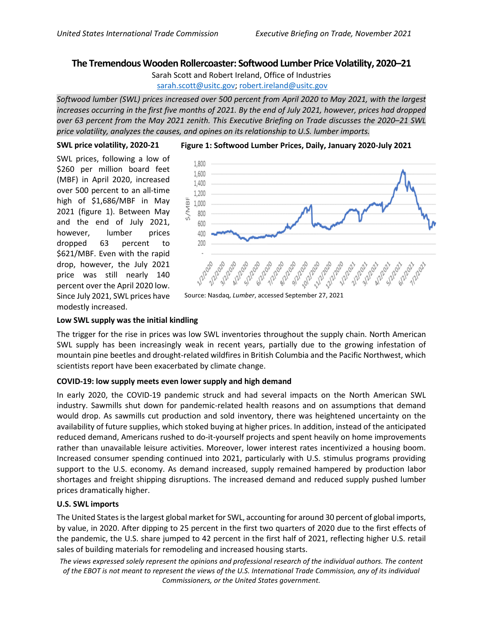# **The Tremendous Wooden Rollercoaster: Softwood Lumber Price Volatility, 2020–21**

Sarah Scott and Robert Ireland, Office of Industries [sarah.scott@usitc.gov;](mailto:sarah.scott@usitc.gov) [robert.ireland@usitc.gov](mailto:robert.ireland@usitc.gov)

*Softwood lumber (SWL) prices increased over 500 percent from April 2020 to May 2021, with the largest increases occurring in the first five months of 2021. By the end of July 2021, however, prices had dropped over 63 percent from the May 2021 zenith. This Executive Briefing on Trade discusses the 2020–21 SWL price volatility, analyzes the causes, and opines on its relationship to U.S. lumber imports.*

## **SWL price volatility, 2020-21**

SWL prices, following a low of \$260 per million board feet (MBF) in April 2020, increased over 500 percent to an all-time high of \$1,686/MBF in May 2021 (figure 1). Between May and the end of July 2021, however, lumber prices dropped 63 percent to \$621/MBF. Even with the rapid drop, however, the July 2021 price was still nearly 140 percent over the April 2020 low. Since July 2021, SWL prices have modestly increased.



## **Low SWL supply was the initial kindling**

The trigger for the rise in prices was low SWL inventories throughout the supply chain. North American SWL supply has been increasingly weak in recent years, partially due to the growing infestation of mountain pine beetles and drought-related wildfires in British Columbia and the Pacific Northwest, which scientists report have been exacerbated by climate change.

## **COVID-19: low supply meets even lower supply and high demand**

In early 2020, the COVID-19 pandemic struck and had several impacts on the North American SWL industry. Sawmills shut down for pandemic-related health reasons and on assumptions that demand would drop. As sawmills cut production and sold inventory, there was heightened uncertainty on the availability of future supplies, which stoked buying at higher prices. In addition, instead of the anticipated reduced demand, Americans rushed to do-it-yourself projects and spent heavily on home improvements rather than unavailable leisure activities. Moreover, lower interest rates incentivized a housing boom. Increased consumer spending continued into 2021, particularly with U.S. stimulus programs providing support to the U.S. economy. As demand increased, supply remained hampered by production labor shortages and freight shipping disruptions. The increased demand and reduced supply pushed lumber prices dramatically higher.

## **U.S. SWL imports**

The United States is the largest global market for SWL, accounting for around 30 percent of global imports, by value, in 2020. After dipping to 25 percent in the first two quarters of 2020 due to the first effects of the pandemic, the U.S. share jumped to 42 percent in the first half of 2021, reflecting higher U.S. retail sales of building materials for remodeling and increased housing starts.

*The views expressed solely represent the opinions and professional research of the individual authors. The content of the EBOT is not meant to represent the views of the U.S. International Trade Commission, any of its individual Commissioners, or the United States government.*

### **Figure 1: Softwood Lumber Prices, Daily, January 2020-July 2021**